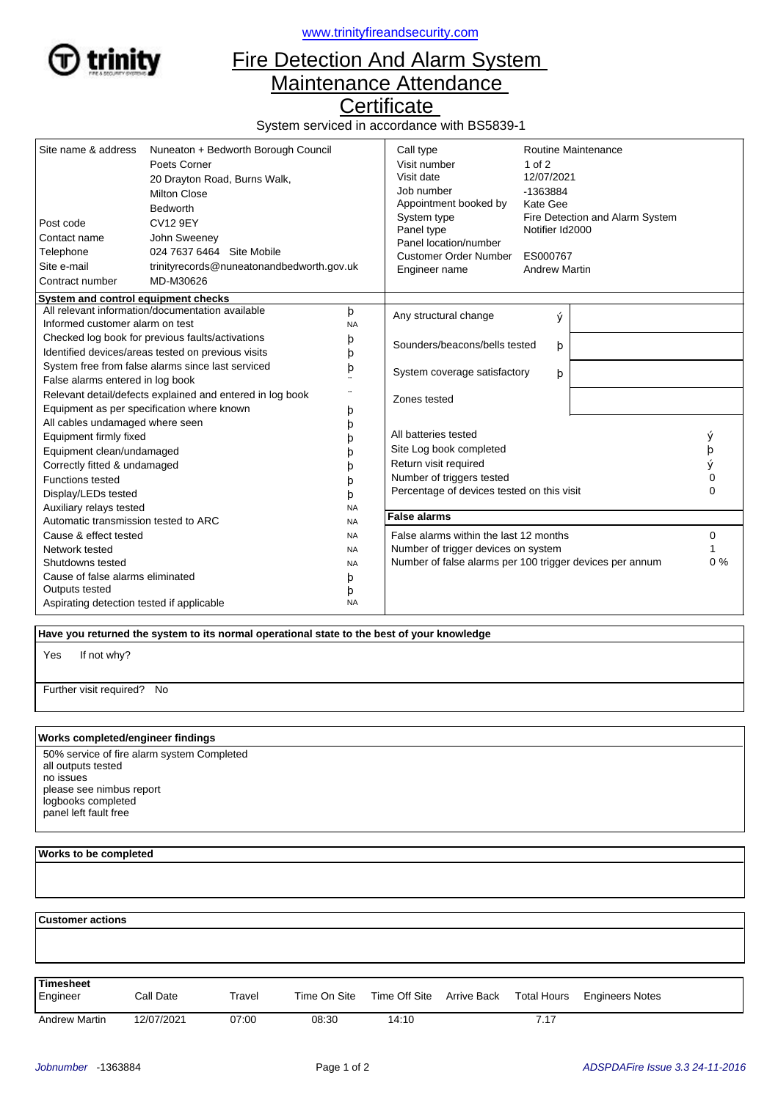

<www.trinityfireandsecurity.com>

## Fire Detection And Alarm System Maintenance Attendance

**Certificate** 

System serviced in accordance with BS5839-1

| Site name & address<br>Post code<br>Contact name<br>Telephone<br>Site e-mail<br>Contract number | Nuneaton + Bedworth Borough Council<br>Poets Corner<br>20 Drayton Road, Burns Walk,<br><b>Milton Close</b><br><b>Bedworth</b><br><b>CV12 9EY</b><br>John Sweeney<br>024 7637 6464 Site Mobile<br>trinityrecords@nuneatonandbedworth.gov.uk<br>MD-M30626 |                                                          | Call type<br>Visit number<br>Visit date<br>Job number<br>Appointment booked by<br>System type<br>Panel type<br>Panel location/number<br><b>Customer Order Number</b><br>Engineer name | $1$ of $2$<br>12/07/2021<br>-1363884<br>Kate Gee<br>Notifier Id2000<br>ES000767<br><b>Andrew Martin</b> | Routine Maintenance<br>Fire Detection and Alarm System |          |
|-------------------------------------------------------------------------------------------------|---------------------------------------------------------------------------------------------------------------------------------------------------------------------------------------------------------------------------------------------------------|----------------------------------------------------------|---------------------------------------------------------------------------------------------------------------------------------------------------------------------------------------|---------------------------------------------------------------------------------------------------------|--------------------------------------------------------|----------|
| System and control equipment checks<br>All relevant information/documentation available         |                                                                                                                                                                                                                                                         |                                                          |                                                                                                                                                                                       |                                                                                                         |                                                        |          |
| Informed customer alarm on test                                                                 |                                                                                                                                                                                                                                                         | þ<br><b>NA</b>                                           | Any structural change                                                                                                                                                                 | ý                                                                                                       |                                                        |          |
| Checked log book for previous faults/activations                                                |                                                                                                                                                                                                                                                         | þ                                                        |                                                                                                                                                                                       |                                                                                                         |                                                        |          |
| Identified devices/areas tested on previous visits<br>b                                         |                                                                                                                                                                                                                                                         |                                                          | Sounders/beacons/bells tested                                                                                                                                                         | þ                                                                                                       |                                                        |          |
| System free from false alarms since last serviced<br>þ                                          |                                                                                                                                                                                                                                                         |                                                          | System coverage satisfactory<br>þ                                                                                                                                                     |                                                                                                         |                                                        |          |
| False alarms entered in log book                                                                |                                                                                                                                                                                                                                                         |                                                          |                                                                                                                                                                                       |                                                                                                         |                                                        |          |
| Relevant detail/defects explained and entered in log book                                       |                                                                                                                                                                                                                                                         | Zones tested                                             |                                                                                                                                                                                       |                                                                                                         |                                                        |          |
| Equipment as per specification where known                                                      |                                                                                                                                                                                                                                                         | þ                                                        |                                                                                                                                                                                       |                                                                                                         |                                                        |          |
| All cables undamaged where seen                                                                 |                                                                                                                                                                                                                                                         | þ                                                        |                                                                                                                                                                                       |                                                                                                         |                                                        |          |
| Equipment firmly fixed                                                                          |                                                                                                                                                                                                                                                         | b                                                        | All batteries tested                                                                                                                                                                  |                                                                                                         |                                                        | ý        |
| Equipment clean/undamaged                                                                       |                                                                                                                                                                                                                                                         |                                                          | Site Log book completed                                                                                                                                                               |                                                                                                         |                                                        | þ        |
| Correctly fitted & undamaged                                                                    |                                                                                                                                                                                                                                                         |                                                          | Return visit required                                                                                                                                                                 |                                                                                                         |                                                        |          |
| <b>Functions tested</b>                                                                         |                                                                                                                                                                                                                                                         |                                                          | Number of triggers tested                                                                                                                                                             |                                                                                                         |                                                        |          |
| Display/LEDs tested<br>b                                                                        |                                                                                                                                                                                                                                                         |                                                          | Percentage of devices tested on this visit                                                                                                                                            |                                                                                                         |                                                        | $\Omega$ |
| Auxiliary relays tested<br><b>NA</b>                                                            |                                                                                                                                                                                                                                                         |                                                          |                                                                                                                                                                                       |                                                                                                         |                                                        |          |
| Automatic transmission tested to ARC<br><b>NA</b>                                               |                                                                                                                                                                                                                                                         | <b>False alarms</b>                                      |                                                                                                                                                                                       |                                                                                                         |                                                        |          |
| Cause & effect tested<br><b>NA</b>                                                              |                                                                                                                                                                                                                                                         | False alarms within the last 12 months                   |                                                                                                                                                                                       | 0                                                                                                       |                                                        |          |
| Network tested<br><b>NA</b>                                                                     |                                                                                                                                                                                                                                                         | Number of trigger devices on system                      |                                                                                                                                                                                       |                                                                                                         |                                                        |          |
| Shutdowns tested<br><b>NA</b>                                                                   |                                                                                                                                                                                                                                                         | Number of false alarms per 100 trigger devices per annum |                                                                                                                                                                                       | 0%                                                                                                      |                                                        |          |
| Cause of false alarms eliminated<br>þ                                                           |                                                                                                                                                                                                                                                         |                                                          |                                                                                                                                                                                       |                                                                                                         |                                                        |          |
| Outputs tested<br>þ                                                                             |                                                                                                                                                                                                                                                         |                                                          |                                                                                                                                                                                       |                                                                                                         |                                                        |          |
| Aspirating detection tested if applicable<br><b>NA</b>                                          |                                                                                                                                                                                                                                                         |                                                          |                                                                                                                                                                                       |                                                                                                         |                                                        |          |

 **Have you returned the system to its normal operational state to the best of your knowledge**

If not why? Yes

Further visit required? No

## **Works completed/engineer findings**

50% service of fire alarm system Completed all outputs tested no issues please see nimbus report logbooks completed panel left fault free

## **Works to be completed**

  **Customer actions** Engineer Call Date Travel Time On Site Time Off Site Arrive Back Total Hours Engineers Notes **Timesheet** Arrive Back Andrew Martin 12/07/2021 07:00 08:30 14:10 7.17